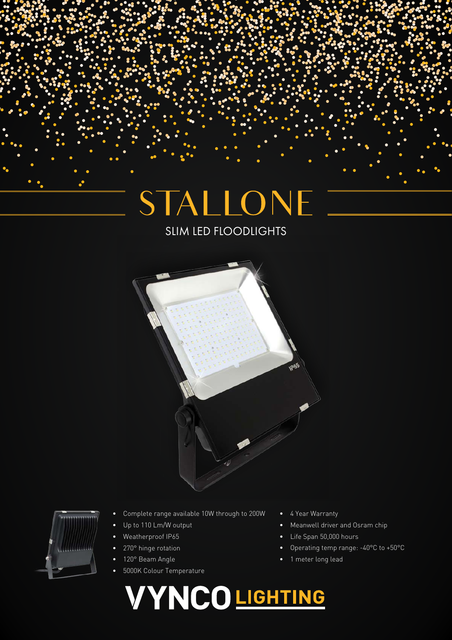# STALLONE

## SLIM LED FLOODLIGHTS





- Complete range available 10W through to 200W
- Up to 110 Lm/W output
- Weatherproof IP65
- 270° hinge rotation
- 120° Beam Angle
- 5000K Colour Temperature
- 4 Year Warranty
- Meanwell driver and Osram chip
- Life Span 50,000 hours
- Operating temp range: -40°C to +50°C
- 1 meter long lead